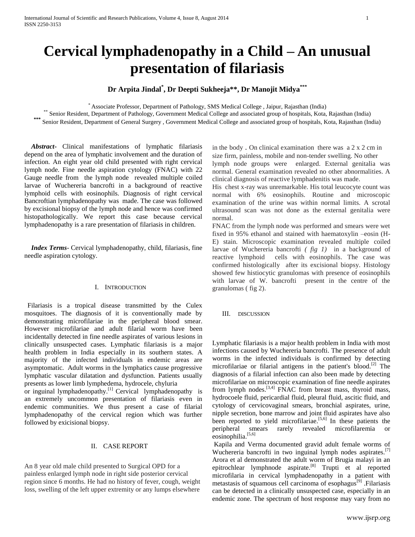# **Cervical lymphadenopathy in a Child – An unusual presentation of filariasis**

# **Dr Arpita Jindal\* , Dr Deepti Sukheeja\*\*, Dr Manojit Midya\*\*\***

\* Associate Professor, Department of Pathology, SMS Medical College , Jaipur, Rajasthan (India) \*\* Senior Resident, Department of Pathology, Government Medical College and associated group of hospitals, Kota, Rajasthan (India)

Senior Resident, Department of General Surgery , Government Medical College and associated group of hospitals, Kota, Rajasthan (India)

 *Abstract***-** Clinical manifestations of lymphatic filariasis depend on the area of lymphatic involvement and the duration of infection. An eight year old child presented with right cervical lymph node. Fine needle aspiration cytology (FNAC) with 22 Gauge needle from the lymph node revealed multiple coiled larvae of Wuchereria bancrofti in a background of reactive lymphoid cells with eosinophils. Diagnosis of right cervical Bancroftian lymphadenopathy was made. The case was followed by excisional biopsy of the lymph node and hence was confirmed histopathologically. We report this case because cervical lymphadenopathy is a rare presentation of filariasis in children.

 *Index Terms*- Cervical lymphadenopathy, child, filariasis, fine needle aspiration cytology.

## I. INTRODUCTION

Filariasis is a tropical disease transmitted by the Culex mosquitoes. The diagnosis of it is conventionally made by demonstrating microfilariae in the peripheral blood smear. However microfilariae and adult filarial worm have been incidentally detected in fine needle aspirates of various lesions in clinically unsuspected cases. Lymphatic filariasis is a major health problem in India especially in its southern states. A majority of the infected individuals in endemic areas are asymptomatic. Adult worms in the lymphatics cause progressive lymphatic vascular dilatation and dysfunction. Patients usually presents as lower limb lymphedema, hydrocele, chyluria

or inguinal lymphadenopathy.<sup>[1]</sup> Cervical lymphadenopathy is an extremely uncommon presentation of filariasis even in endemic communities. We thus present a case of filarial lymphadenopathy of the cervical region which was further followed by exicisional biopsy.

## II. CASE REPORT

An 8 year old male child presented to Surgical OPD for a painless enlarged lymph node in right side posterior cervical region since 6 months. He had no history of fever, cough, weight loss, swelling of the left upper extremity or any lumps elsewhere

in the body. On clinical examination there was  $a \, 2 \, x \, 2 \,$ cm in size firm, painless, mobile and non-tender swelling. No other lymph node groups were enlarged. External genitalia was normal. General examination revealed no other abnormalities. A clinical diagnosis of reactive lymphadenitis was made.

His chest x-ray was unremarkable. His total leucocyte count was normal with 6% eosinophils. Routine and microscopic examination of the urine was within normal limits. A scrotal ultrasound scan was not done as the external genitalia were normal.

FNAC from the lymph node was performed and smears were wet fixed in 95% ethanol and stained with haematoxylin –eosin (H-E) stain. Microscopic examination revealed multiple coiled larvae of Wuchereria bancrofti *( fig 1)* in a background of reactive lymphoid cells with eosinophils. The case was confirmed histologically after its excisional biopsy. Histology showed few histiocytic granulomas with presence of eosinophils with larvae of W. bancrofti present in the centre of the granulomas ( fig 2).

III. DISCUSSION

Lymphatic filariasis is a major health problem in India with most infections caused by Wuchereria bancrofti. The presence of adult worms in the infected individuals is confirmed by detecting microfilariae or filarial antigens in the patient's blood.[2] The diagnosis of a filarial infection can also been made by detecting microfilariae on microscopic examination of fine needle aspirates from lymph nodes.<sup>[3,4]</sup> FNAC from breast mass, thyroid mass, hydrocoele fluid, pericardial fluid, pleural fluid, ascitic fluid, and cytology of cervicovaginal smears, bronchial aspirates, urine, nipple secretion, bone marrow and joint fluid aspirates have also been reported to yield microfilariae.<sup>[5,6]</sup> In these patients the peripheral smears rarely revealed microfilaremia or eosinophilia.<sup>[5,6]</sup>

Kapila and Verma documented gravid adult female worms of Wuchereria bancrofti in two inguinal lymph nodes aspirates.<sup>[7]</sup> Arora et al demonstrated the adult worm of Brugia malayi in an epitrochlear lymphnode aspirate.[8] Trupti et al reported microfilaria in cervical lymphadenopathy in a patient with metastasis of squamous cell carcinoma of esophagus<sup>[9]</sup> .Filariasis can be detected in a clinically unsuspected case, especially in an endemic zone. The spectrum of host response may vary from no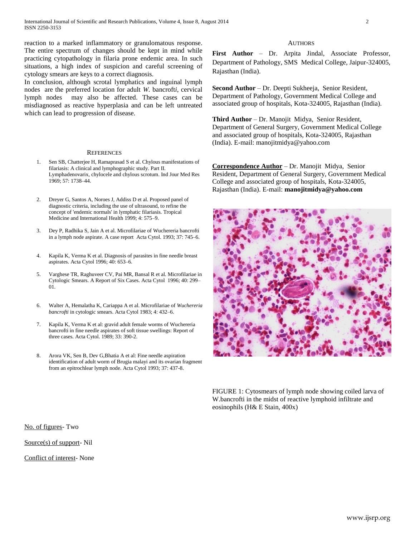reaction to a marked inflammatory or granulomatous response. The entire spectrum of changes should be kept in mind while practicing cytopathology in filaria prone endemic area. In such situations, a high index of suspicion and careful screening of cytology smears are keys to a correct diagnosis.

In conclusion, although scrotal lymphatics and inguinal lymph nodes are the preferred location for adult *W.* bancroft*i*, cervical lymph nodes may also be affected. These cases can be misdiagnosed as reactive hyperplasia and can be left untreated which can lead to progression of disease.

#### **REFERENCES**

- 1. Sen SB, Chatterjee H, Ramaprasad S et al. Chylous manifestations of filariasis: A clinical and lymphographic study. Part II. Lymphadenovarix, chylocele and chylous scrotum. Ind Jour Med Res 1969; 57: 1738–44.
- 2. Dreyer G, Santos A, Noroes J, Addiss D et al. Proposed panel of diagnostic criteria, including the use of ultrasound, to refine the concept of 'endemic normals' in lymphatic filariasis. Tropical Medicine and International Health 1999; 4: 575–9.
- 3. Dey P, Radhika S, Jain A et al. Microfilariae of Wuchereria bancrofti in a lymph node aspirate. A case report Acta Cytol. 1993; 37: 745–6.
- 4. Kapila K, Verma K et al. Diagnosis of parasites in fine needle breast aspirates. Acta Cytol 1996; 40: 653–6.
- 5. Varghese TR, Raghuveer CV, Pai MR, Bansal R et al. Microfilariae in Cytologic Smears. A Report of Six Cases. Acta Cytol 1996; 40: 299– 01.
- 6. Walter A, Hemalatha K, Cariappa A et al. Microfilariae of *Wuchereria bancrofti* in cytologic smears. Acta Cytol 1983; 4: 432–6.
- 7. Kapila K, Verma K et al: gravid adult female worms of Wuchereria bancrofti in fine needle aspirates of soft tissue swellings: Report of three cases. Acta Cytol. 1989; 33: 390-2.
- 8. Arora VK, Sen B, Dev G,Bhatia A et al: Fine needle aspiration identification of adult worm of Brugia malayi and its ovarian fragment from an epitrochlear lymph node. Acta Cytol 1993; 37: 437-8.

#### **AUTHORS**

**First Author** – Dr. Arpita Jindal, Associate Professor, Department of Pathology, SMS Medical College, Jaipur-324005, Rajasthan (India).

**Second Author** – Dr. Deepti Sukheeja, Senior Resident, Department of Pathology, Government Medical College and associated group of hospitals, Kota-324005, Rajasthan (India).

**Third Author** – Dr. Manojit Midya, Senior Resident, Department of General Surgery, Government Medical College and associated group of hospitals, Kota-324005, Rajasthan (India). E-mail: [manojitmidya@yahoo.com](mailto:manojitmidya@yahoo.com)

**Correspondence Author** – Dr. Manojit Midya, Senior Resident, Department of General Surgery, Government Medical College and associated group of hospitals, Kota-324005, Rajasthan (India). E-mail: **[manojitmidya@yahoo.com](mailto:manojitmidya@yahoo.com)**



FIGURE 1: Cytosmears of lymph node showing coiled larva of W.bancrofti in the midst of reactive lymphoid infiltrate and eosinophils (H& E Stain, 400x)

No. of figures- Two

Source(s) of support- Nil

Conflict of interest- None